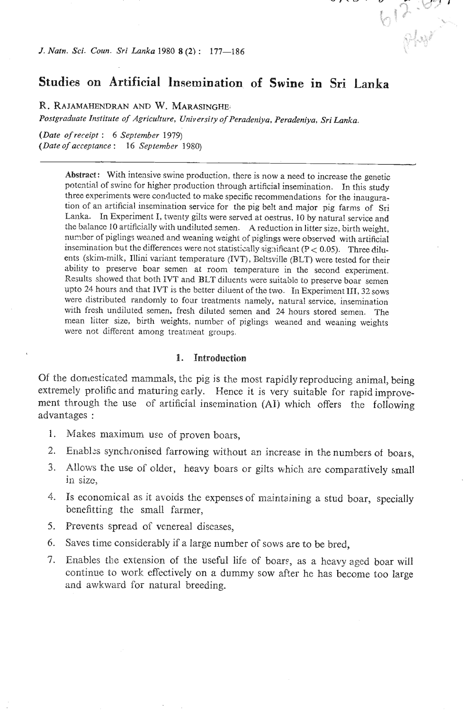*J. Natn. Sci. Coun. Sri Lanka 1980 8* **(2)** : **177-186** 

# **Studies on Artificial insemination of Swine in Sri Lanka**

612-67

**W. RA JAMAHENDRAN AND W. MARASINGHE,** 

*Postgraduate Institute of Agriculture, University of Peradeniya. Peradeniya, Sri Lanka.* 

*(Date of receipt* : *6 September* 1979) *(Date of acceptance* : *16 September* 1980)

> **Abstract:** With intensive swine production, there is now a need to increase the genetic potential of swine for higher production through artificial insemination. In this study three experiments were conducted to make specific recommendations for the inauguration of an artificial insemination service for the pig belt and major pig farms of Sri Lanka. In Experiment I, twenty gilts were served at oestrus, 10 by natural service and the balance 10 artificially with undiluted semen. A reduction in litter size, birth weight, number of piglings weaned and weaning weight of piglings were observed with artificial insemination but the differences were not statistically significant (P < 0.05). Three diluents (skim-milk, Illini variant temperature (IVT), Beltsville (BLT) were tested for their ability to preserve boar semen at room temperature in the second experiment. Results showed that both IVT and BLT diluents were suitable to preserve boar semen upto 24 hours and that IVT is the better diluent of the two. In Experiment **III,31** sows were distributed randomly to four treatments namely, natural service, insemination with fresh undiluted semen, fresh diluted semen and 24 hours stored semen. The mean litter size, birth weights, number of piglings weaned and weaning weights were not different among treatment groups.

## **1. Introduction**

Of the domesticated mammals, the pig is the most rapicilyreproducing animal, being extremely prolific and maturing early. Hence it is very suitable for rapid improvement through the use of artificial insemination (AI) which offers the following advantages :

- 1. Makes maximum use of proven boars,
- 2. Enabl:s synchionised farrowing without **an** increase in the numbers of boars,
- 3. Allows the use of older, heavy boars or gilts which are comparatively small in size.
- 4. Is economical as it avoids the expenses of maintaining a stud boar, specially benefitting the small farmer,
- 5. Prevents spread of venereal diseases,
- 6. Saves time considerably if a large number of sows are to be bred,
- 7. Enables the extension of the useful life of boars, as a heavy aged boar will continue to work effectively on a dummy sow after he has become too large and awkward for natural breeding.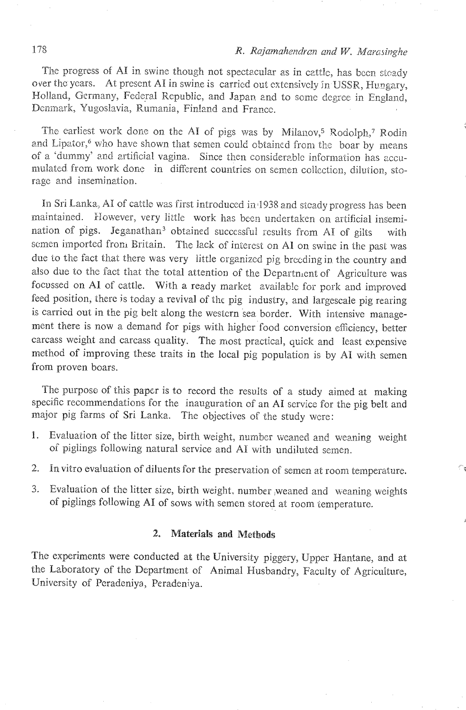The progress of AI in swine though not spectacular as in cattle, has been steady over the years. At present AI in swine is carried out extensively in USSR, Hungary, Holland, Germany, Federal Republic, and Japan and to some degree in England, Denmark, Yugoslavia, Rumania, Finland and France.

The earliest work done on the AI of pigs was by Milanov,<sup>5</sup> Rodolph,7 Rodin and Lipator,<sup>6</sup> who have shown that semen could obtained from the boar by means of a 'dummy' and artificial vagina. Since then considerable information has accumulated from work done in different countries on semen collection, dilution, storage and insemination.

In Sri Lanka, AI of cattle was first introduced in<sup>1938</sup> and steady progress has been maintained. However, very little work has been undertaken on artificial insemination of pigs. Jeganathan<sup>3</sup> obtained successful results from AI of gilts with semen imported from Britain. The lack of interest on **Al** on swine in the past was due to the fact that there was very little organized pig breeding in the country and also due to the fact that the total attention of the Department of Agriculture was focussed on **A1** of cattle. Wjth a ready market available for pork and improved feed position, there is today a revival of thc pig industry, and Iargescale pig rearing is carried out in the pig belt along the western sea border. With intensive management there is now a demand for pigs with higher food conversion efficiency, better carcass weight and carcass quality. The most practical, quick and least expensive method of improving these traits in the local pig population is by AI with semen from proven boars.

The purpose of this paper is to record the results of a study aimed at making specific recommendations for the inauguration of an **A1** service for the pig belt and major pig farms of Sri Eanka. The objectives of the study wcre:

- 1. Evaluation of the litter size, birth weight, number weaned and weaning weight **oi** piglings following natural service and **A1** with undiluted semen.
- 2. Ia vitro evaluation of diluents for the preservation of semen at room temperatwe.
- *3.* Evaluation of tho litter size, birth weight, number ,weaned and weaning weights of piglings following AI of sows with semen stored at room temperature.

# 2. **Materials md Methods**

The experiments were conducted at the University piggery, Upper Wantane, and at the Laboratory of the Department of Animal Husbandry, Faculty of Agriculture, University of Peradeniya, Peradeniya.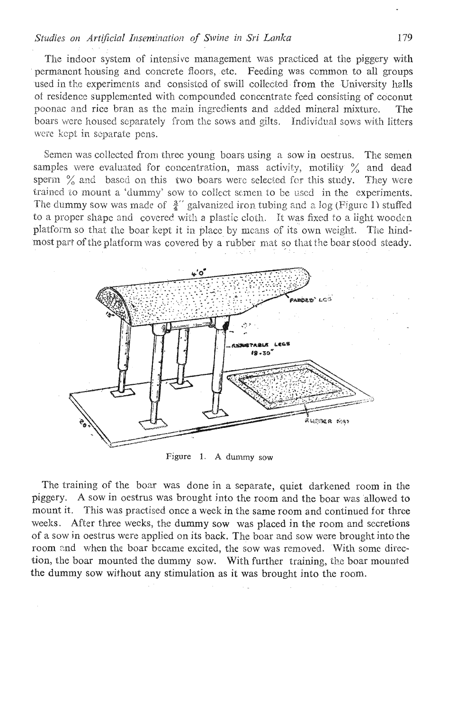The indoor system of intensive management was practiced at the piggery with permanent housing and concrete floors, etc. Feeding was common to all groups used in the experiments and consisted of swill collected from the University halls of residence supplemented with compounded concentrate feed consisting of coconut poonac and rice bran as the main ingredients and added mineral mixture. The boars were housed separately from the sows and gilts. Individual sows with litters were kept in separate pens.

Semen was collected from three young boars using a sow in oestrus. The semen samples were evaluated for concentration, mass activity, motility % and dead sperm  $\%$  and based on this two boars were selected for this study. They were trained to mount a 'dummy' sow to collect semen to be used in the experiments. The dummy sow was made of  $\frac{3}{4}$ " galvanized iron tubing and a log (Figure 1) stuffed to a proper shape and covered with a plastic cloth. It was fixed to a light wooden platform so that the boar kept it in place by means of its own weight. The hindmost part of the platform was covered by a rubber mat so that the boar stood steady.



Figure 1. A dummy sow

The training of the boar was done in a separate, quiet darkened room in the piggery. A sow in oestrus was brought into the room and the boar was allowed to mount it. This was practised once a week in the same room and continued for three weeks. After three weeks, the dummy sow was placed in the room and secretions of a sow in oestrus were applied on its back. The boar and sow were brought into the room and when the boar became excited, the sow was removed. With some direction, the boar mounted the dummy sow. With further training, the boar mounted the dummy sow without any stimulation as it was brought into the room.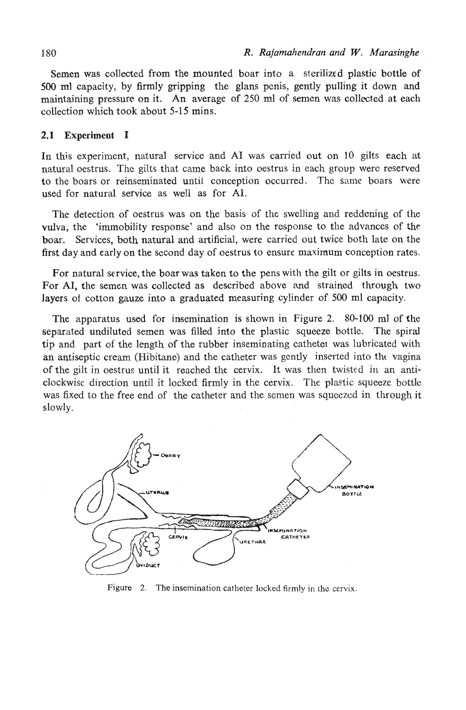Semen was collected from the mounted boar into a sterilized plastic bottle of 500 **ml** capacity, by firmly gripping the glans pcnis, gently pulling it down and maintaining pressure on it. An average of 250 ml of semen was collected at each collection which took about 5-15 mins.

## **2.1 Experiment I**

In this experiment, natural service and A1 was carried out on 10 gilts each at natural oestrus. The gilts that came back into oestrus in each group were reserved to the boars or reinseminated until conception occurred. The same boars were used for natural service as well as for AI.

The detection of oestrus was on the basis of the swelling and reddening of the vulva, the 'immobility response' and also on the response to the advances of the boar. Services, both natural and artificial, were carried out twice both late on the first day and early on the second day of oestrus to ensure maximum conception rates.

For natural service, the boar was taken to the pens with the gilt or gilts in oestrus. For AI, the semen was collected as described above and strained through two layers of cotton gauze into a graduated measuring cylinder of 500 ml capacity.

The apparatus used for insemination is shown in Figure 2. **80-100 ml** of the separated undiluted semen was filled into the plastic squeeze bottle. The spiral tip and part of the length of the rubber inseminating catheter was lubricated with an antiseptic cream (Hibitane) and the catheter was gently inserted into the vagina of the gilt in oestrus until it reached the cervix. It was then twisted in an anticlockwise direction until it locked firmly in the cervix. The pla~fic squeeze bottlc was fixed to the free end of the catheter and the semen was squeezed in through it slowly.



Figure **2. The** insemination **catheter locked firmly in the** cervix.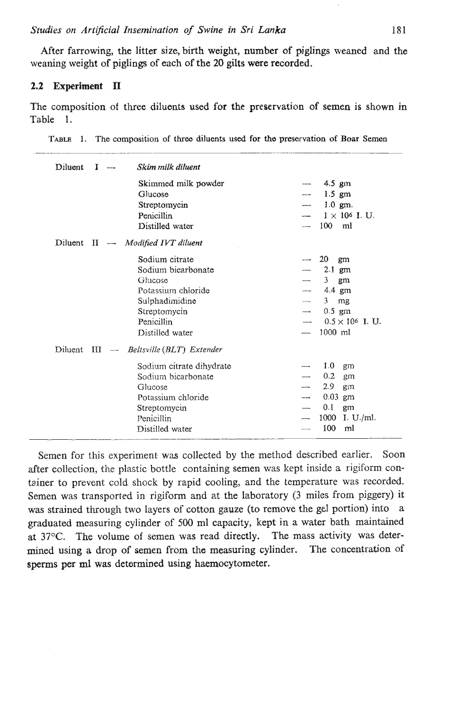After farrowing, the litter size, birth weight, number of piglings weaned and the weaning weight of piglings of each of the 20 **gilts** were recorded.

## **2.2 Experiment I1**

The composition of thee diluents used for the preservation of semen is shown in Table 1.

|  |  | TABLE 1. The composition of three diluents used for the preservation of Boar Semen |  |  |  |  |  |  |  |  |  |  |
|--|--|------------------------------------------------------------------------------------|--|--|--|--|--|--|--|--|--|--|
|--|--|------------------------------------------------------------------------------------|--|--|--|--|--|--|--|--|--|--|

| Diluent    | I |                          | Skim milk diluent         |                          |                         |
|------------|---|--------------------------|---------------------------|--------------------------|-------------------------|
|            |   |                          | Skimmed milk powder       |                          | 4.5 gm                  |
|            |   |                          | Glucose                   |                          | $1.5$ gm                |
|            |   |                          | Streptomycin              |                          | $1.0$ gm.               |
|            |   |                          | Penicillin                |                          | $1 \times 10^6$ I. U.   |
|            |   |                          | Distilled water           | $\cdots$                 | 100<br>ml               |
| Diluent II |   | $\overline{\phantom{a}}$ | Modified IVT diluent      |                          |                         |
|            |   |                          | Sodium citrate            | ست                       | 20<br>gm                |
|            |   |                          | Sodium bicarbonate        |                          | $2.1$ gm                |
|            |   |                          | Glucose                   |                          | 3<br>gm                 |
|            |   |                          | Potassium chloride        |                          | 4.4 gm                  |
|            |   |                          | Sulphadimidine            |                          | 3 <sup>1</sup><br>mg    |
|            |   |                          | Streptomycin              | $\overline{\phantom{a}}$ | $0.5$ gm                |
|            |   |                          | Penicillin                |                          | $0.5 \times 10^6$ I. U. |
|            |   |                          | Distilled water           |                          | $1000$ ml               |
| Diluent    | ш | $\sim$                   | Beltsville (BLT) Extender |                          |                         |
|            |   |                          | Sodium citrate dihydrate  |                          | 1.0<br>gm               |
|            |   |                          | Sodium bicarbonate        |                          | 0.2<br>gm               |
|            |   |                          | Glucose                   |                          | 2.9<br>gm               |
|            |   |                          | Potassium chloride        |                          | $0.03$ gm               |
|            |   |                          | Streptomycin              |                          | 0.1<br>gm               |
|            |   |                          | Penicillin                |                          | 1000<br>I. U./ml.       |
|            |   |                          | Distilled water           |                          | 100<br>ml               |

Semen for this experiment **was** collected by the method described earlier. Soon after collection, the plastic bottle containing semen was kept inside a rigiform container to prevent cold shock by rapid cooling, and the temperature was recorded. Semen was transported in rigiform and at the laboratory (3 miles from piggery) it was strained through two layers of cotton gauze (to remove the gel portion) into a graduated measuring cylinder of 500 ml capacity, kept in a water bath maintained at 37°C. The volume of semen was read directly. The mass activity was determined using **a** drop of semen from the measuring cylinder. The concentration of spenns per ml was determined using haemocytometer.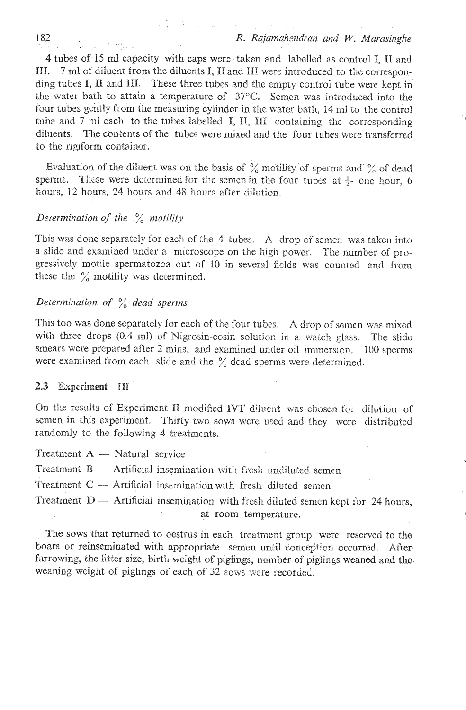**4** tubes of 15 ml capacity with caps were taken and labelled as control **I**, **II** and **111.** 7 ml of diluent from the diluents **I**, **II** and **III** were introduced to the corresponding tubes I, II and III. These three tubes and the empty control tube were kept in the water bath to attain a temperature of  $37^{\circ}$ C. Semen was introduced into the four tubes gently from the measuring cylinder in the water bath, 14 ml to the control tube and 7 ml each to the tubes labelled I, II, III containing the corresponding diluents. The contents of the tubes were mixed and the four tubes were transferred to the rigiform containor.

**17 年 17 年 17 月** 

Evaluation of the diluent was on the basis of  $\%$  motility of sperms and  $\%$  of dead sperms. These were determined for the semen in the four tubes at  $\frac{1}{2}$ - one hour, 6 hours, 12 hours, 24 hours and 48 hours after dilution.

## *Determination of the*  $\frac{6}{6}$  *motility*

This was done separately for each cf the 4 tubes. A drop of semen was taken into a slide and examined under a microscope on the high power. The number of progressively motile spermatozoa out of 10 in several fields was counted and from these the  $\%$  motility was determined.

# *Determination of* % *dead sperms*

This too was done separately for each of the four tubes. A drop of semen was mixed with three drops (0.4 ml) of Nigrosin-eosin solution in a watch glass. The slide smears were prepared after 2 mins, and examined under oil immersion. **I00 sperms** were examined from each slide and the  $\%$  dead sperms were determined.

## **2.3 Experiment 111**

On the results of Experiment II modified IVT diluent was chosen for dilution of semen in this experiment. Thirty two sows were used and they were distributed randomly to the following 4 treatments.<br>Treatment A — Natural service

Freatment  $A$  - Natural service<br>Freatment  $B$  - Artificial insemination with fresh undiluted semen **Treatment B** — Artificial insemination with fresh undiluted semen<br>Treatment C — Artificial insemination with fresh diluted semen

Treatment  $C -$  Artificial insemination with fresh diluted semen<br>Treatment  $D -$  Artificial insemination with fresh diluted semen kept for 24 hours, at room temperature.

The sows that returned to oestrus in each treatment group were reserved to the boars or reinseminated with appropriate semen until conception occurred. After farrowing, the litter size, birth weight of piglings, number of piglings weaned and the weaning weight of piglings of each of 32 sows were recorded.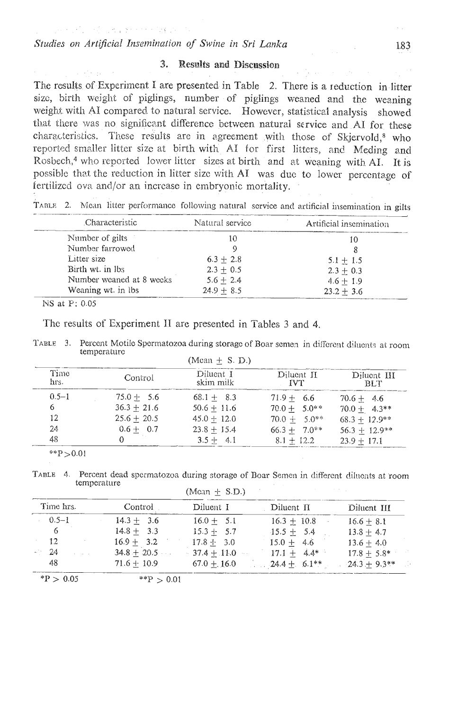THE REPORT OF THE PRESS OF THE REPORT

#### 3. Results and Discussion

The results of Experiment I are presented in Table 2. There is a reduction in litter size, birth weight of piglings, number of piglings weaned and the weaning weight with AI compared to natural service. However, statistical analysis showed that there was no significant difference between natural service and AI for these characteristics. These results are in agreement with those of Skjervold,<sup>8</sup> who reported smaller litter size at birth with AI for first litters, and Meding and Rosbech,<sup>4</sup> who reported lower litter sizes at birth and at weaning with AI. It is possible that the reduction in litter size with AI was due to lower percentage of fertilized ova and/or an increase in embryonic mortality.

TABLE 2. Mean litter performance following natural service and artificial insemination in gilts

| Characteristic           | Natural service | Artificial insemination |  |  |
|--------------------------|-----------------|-------------------------|--|--|
| Number of gilts          |                 |                         |  |  |
| Number farrowed          |                 |                         |  |  |
| Litter size              | $6.3 + 2.8$     | $5.1 + 1.5$             |  |  |
| Birth wt. in lbs.        | $2.3 + 0.5$     | $2.3 + 0.3$             |  |  |
| Number weaned at 8 weeks | $5.6 + 2.4$     | $4.6 + 1.9$             |  |  |
| Weaning wt. in lbs.      | $24.9 \pm 8.5$  | $23.2 + 3.6$            |  |  |
|                          |                 |                         |  |  |

NS at P: 0.05

The results of Experiment II are presented in Tables 3 and 4.

TABLE 3. Percent Motile Spermatozoa during storage of Boar semen in different diluents at room temperature  $(M<sub>con</sub> + S)$ 

| Time<br>hrs. | Control       | Diluent I<br>skim milk | Diluent II<br><b>TVT</b> | Diluent III<br>BLT. |
|--------------|---------------|------------------------|--------------------------|---------------------|
| $0.5 - 1$    | $75.0 + 5.6$  | $68.1 + 8.3$           | $71.9 + 6.6$             | $70.6 + 4.6$        |
| 6            | $36.3 + 21.6$ | $50.6 + 11.6$          | $70.0 + 5.0**$           | $70.0 + 4.3**$      |
| 12           | $25.6 + 20.5$ | $45.0 + 12.0$          | $70.0 + 5.0**$           | $68.3 + 12.9**$     |
| 24           | $0.6 + 0.7$   | $23.8 + 15.4$          | $66.3 + 7.0**$           | $56.3 + 12.9**$     |
| 48           |               | $3.5 + 4.1$            | $8.1 + 12.2$             | $23.9 + 17.1$       |

\*\* $P > 0.01$ 

TABLE 4. Percent dead spermatozoa during storage of Boar Semen in different diluonts at room temperature

 $(M<sub>can</sub> + SD)$ 

| Time hrs. | Control       | Diluent I      | Diluent II     | Diluent III    |  |
|-----------|---------------|----------------|----------------|----------------|--|
| $0.5 - 1$ | $14.3 + 3.6$  | $16.0 + 5.1$   | $16.3 + 10.8$  | $16.6 + 8.1$   |  |
| 6         | $14.8 + 3.3$  | $15.3 + 5.7$   | $15.5 + 5.4$   | $13.8 + 4.7$   |  |
| 12        | $16.9 + 3.2$  | $17.8 + 3.0$   | $15.0 + 4.6$   | $13.6 + 4.0$   |  |
| -24       | $34.8 + 20.5$ | $-37.4 + 11.0$ | $17.1 + 4.4*$  | $17.8 + 5.8*$  |  |
| 48        | $71.6 + 10.9$ | $67.0 + 16.0$  | $24.4 + 6.1**$ | $24.3 + 9.3**$ |  |

 $*P > 0.05$ \*\* $P > 0.01$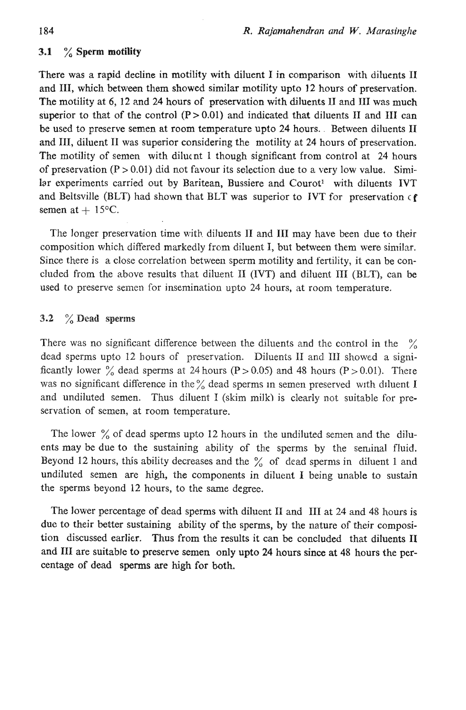## 3.1 % Sperm **motility**

There was a rapid decline in motility with diluent I in comparison with diluents I1 and 111, which between them showed similar motility upto 12 hours of preservation. The motility at 6, 12 and **24** hours of preservation with diluents I1 and I11 was much superior to that of the control  $(P > 0.01)$  and indicated that diluents II and III can be used to preserve semen at room temperature upto **24** hours. Between diluents I1 and 111, diluent I1 was suparior considering the motility at **24** hours of preservation. The motility of semen with diluent 1 though significant from control at 24 hours of preservation  $(P > 0.01)$  did not favour its selection due to a very low value. Similar experiments carried out by Baritean, Bussiere and Courot<sup>1</sup> with diluents IVT and Beltsville **(BLT)** had shown that BLT was superior to IVT for preservation c **f**  semen at  $+15$ °C.

The longer preservation time with diluents I1 and I11 may have been due to their composition which ditiered markedly from diluent I, but between them were similar. Since there is a close correlation between sperm motility and fertility, it can be concluded from the above results that diluent II (IVT) and diluent III (BLT), can be used to preserve semen for insemination upto 24 hours, at room temperature.

# **3.2** % **Dead sperms**

There was no significant difference between the diluents and the control in the  $\%$ dead sperms upto 12 hours of preservation. Diluents II and III showed a significantly lower  $\frac{0}{6}$  dead sperms at 24 hours (P > 0.05) and 48 hours (P > 0.01). There was no significant difference in the  $\frac{6}{6}$  dead sperms in semen preserved with diluent I and undiluted semen. Thus diluent I (skim milk) is clearly not suitable for preservation of semen, at room temperature.

The lower  $\%$  of dead sperms upto 12 hours in the undiluted semen and the diluents may be due to the sustaining ability of the sperms by the seminal fluid. Beyond 12 hours, this ability decreases and the  $\frac{9}{6}$  of dead sperms in diluent 1 and undiluted semen are high, the components in diluent I being unable to sustain the sperms beyond 12 hours, to the same degree.

The lower percentage of dead sperms with dilucnt I1 and I11 at 24 and 48 hours is due to their better sustaining ability of the sperms, by the nature of their composition discussed earlier. Thus from the results it **can** be concluded that diluents I1 and I11 are suitable to preserve semen only upto **24** hours since **at** 48 hours the percentage of dead sperms **are** high for both.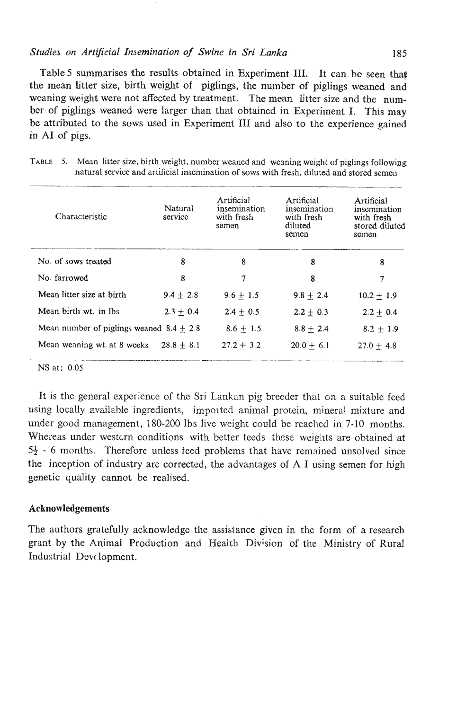#### **Studies on Artificial Insemination of Swine in Sri Lanka** *185* **<b>185**

Table 5 summarises the results obtained in Experiment III. It can be seen that the mean litter size, birth weight of piglings, the number of piglings weaned and weaning weight were not affected by treatment. The mean litter size and the number of piglings weaned were larger than that obtained jn Experiment I. This may be attributed to the sows used in Experiment I11 and also to the experience gained in A1 of pigs.

| Characteristic                             | Natural<br>service | Artificial<br>insemination<br>with fresh<br>somon | Artificial<br>insemination<br>with fresh<br>diluted<br>semen | Artificial<br>insemination<br>with fresh<br>stored diluted<br>semen |  |
|--------------------------------------------|--------------------|---------------------------------------------------|--------------------------------------------------------------|---------------------------------------------------------------------|--|
| No. of sows treated                        | 8                  | 8                                                 | 8                                                            | 8                                                                   |  |
| No. farrowed                               | 8                  | 7                                                 | 8                                                            | 7                                                                   |  |
| Mean litter size at birth                  | $9.4 + 2.8$        | $9.6 + 1.5$                                       | $9.8 + 2.4$                                                  | $10.2 + 1.9$                                                        |  |
| Mean birth wt. in Ibs.                     | $2.3 + 0.4$        | $2.4 + 0.5$                                       | $2.2 + 0.3$                                                  | $2.2 + 0.4$                                                         |  |
| Mean number of piglings weaned $8.4 + 2.8$ |                    | $8.6 + 1.5$                                       | $8.8 + 2.4$                                                  | $8.2 + 1.9$                                                         |  |
| Mean weaning wt. at 8 weeks                | $28.8 + 8.1$       | $27.2 + 3.2$                                      | $20.0 + 6.1$                                                 | $27.0 + 4.8$                                                        |  |

**TABLE** *5.* Mean litter size, birth weight, number weancd and weaning weight of piglings following natural service and artificial insemination of sows with fresh, diluted and stored semen

NS at: **0.05** 

It is thc general experience of the Sri Lankan pig breeder that on a suitable fced using locally available ingredients, jmpotted animal protein, mineral mixture and under good management, 180-200 Ibs live weight could be reached in 7-10 months. Whereas under western conditions with better teeds these weights are obtained at **53** - 6 months. Therefore unless teed problems that have remained unsolved since the inception of industry are corrected, the advantages of A I using semen for high genetic quality cannot be realised.

## **Acknowledgements**

The authors gratefully acknowledge the assislance given in the form of a research grant by the Animal Production and Health Division of the Ministry of **Rural**  Industria1 Devt lopment.